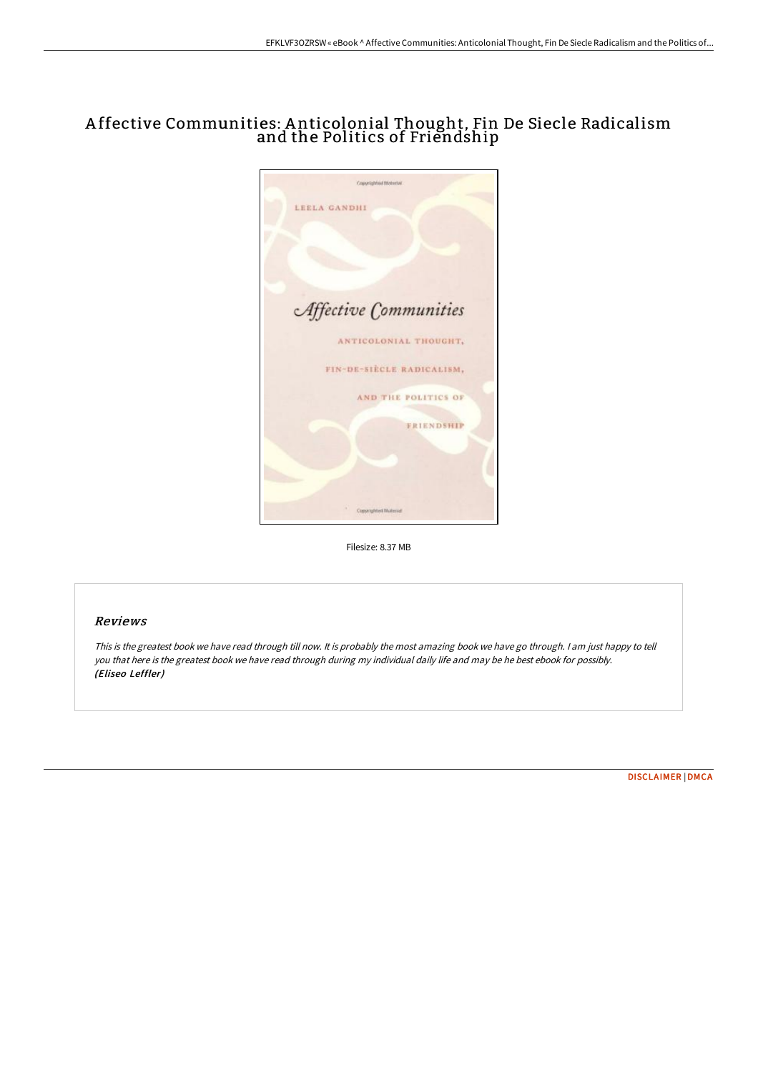# A ffective Communities: A nticolonial Thought, Fin De Siecle Radicalism and the Politics of Friendship



Filesize: 8.37 MB

# Reviews

This is the greatest book we have read through till now. It is probably the most amazing book we have go through. I am just happy to tell you that here is the greatest book we have read through during my individual daily life and may be he best ebook for possibly. (Eliseo Leffler)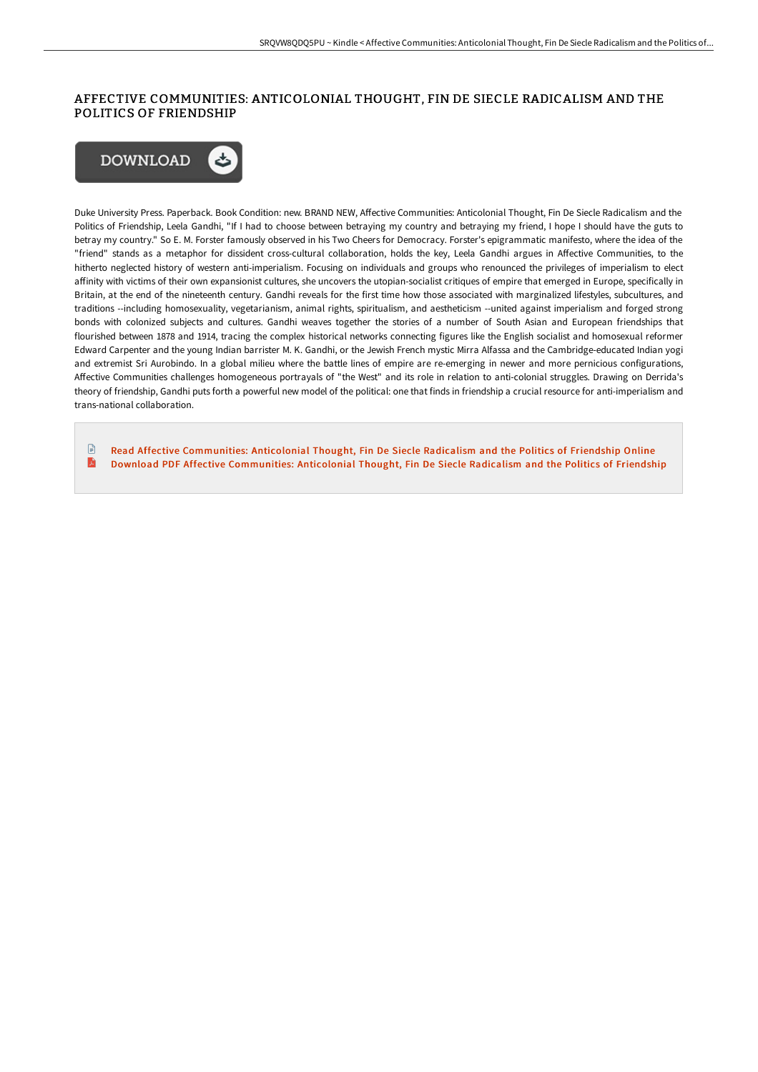# AFFECTIVE COMMUNITIES: ANTICOLONIAL THOUGHT, FIN DE SIECLE RADICALISM AND THE POLITICS OF FRIENDSHIP



Duke University Press. Paperback. Book Condition: new. BRAND NEW, Affective Communities: Anticolonial Thought, Fin De Siecle Radicalism and the Politics of Friendship, Leela Gandhi, "If I had to choose between betraying my country and betraying my friend, I hope I should have the guts to betray my country." So E. M. Forster famously observed in his Two Cheers for Democracy. Forster's epigrammatic manifesto, where the idea of the "friend" stands as a metaphor for dissident cross-cultural collaboration, holds the key, Leela Gandhi argues in Affective Communities, to the hitherto neglected history of western anti-imperialism. Focusing on individuals and groups who renounced the privileges of imperialism to elect affinity with victims of their own expansionist cultures, she uncovers the utopian-socialist critiques of empire that emerged in Europe, specifically in Britain, at the end of the nineteenth century. Gandhi reveals for the first time how those associated with marginalized lifestyles, subcultures, and traditions --including homosexuality, vegetarianism, animal rights, spiritualism, and aestheticism --united against imperialism and forged strong bonds with colonized subjects and cultures. Gandhi weaves together the stories of a number of South Asian and European friendships that flourished between 1878 and 1914, tracing the complex historical networks connecting figures like the English socialist and homosexual reformer Edward Carpenter and the young Indian barrister M. K. Gandhi, or the Jewish French mystic Mirra Alfassa and the Cambridge-educated Indian yogi and extremist Sri Aurobindo. In a global milieu where the battle lines of empire are re-emerging in newer and more pernicious configurations, Affective Communities challenges homogeneous portrayals of "the West" and its role in relation to anti-colonial struggles. Drawing on Derrida's theory of friendship, Gandhi puts forth a powerful new model of the political: one that finds in friendship a crucial resource for anti-imperialism and trans-national collaboration.

₽ Read Affective [Communities:](http://techno-pub.tech/affective-communities-anticolonial-thought-fin-d.html) Anticolonial Thought, Fin De Siecle Radicalism and the Politics of Friendship Online A Download PDF Affective [Communities:](http://techno-pub.tech/affective-communities-anticolonial-thought-fin-d.html) Anticolonial Thought, Fin De Siecle Radicalism and the Politics of Friendship